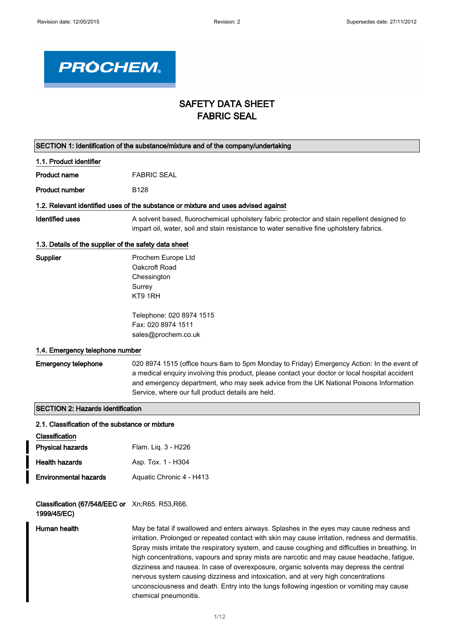

# SAFETY DATA SHEET FABRIC SEAL

| SECTION 1: Identification of the substance/mixture and of the company/undertaking |                                                                                                                                                                                                                                                                                                                                                                                                                                                                                                                                                                                                                                                                                                         |  |
|-----------------------------------------------------------------------------------|---------------------------------------------------------------------------------------------------------------------------------------------------------------------------------------------------------------------------------------------------------------------------------------------------------------------------------------------------------------------------------------------------------------------------------------------------------------------------------------------------------------------------------------------------------------------------------------------------------------------------------------------------------------------------------------------------------|--|
| 1.1. Product identifier                                                           |                                                                                                                                                                                                                                                                                                                                                                                                                                                                                                                                                                                                                                                                                                         |  |
| <b>Product name</b>                                                               | <b>FABRIC SEAL</b>                                                                                                                                                                                                                                                                                                                                                                                                                                                                                                                                                                                                                                                                                      |  |
| <b>Product number</b>                                                             | B128                                                                                                                                                                                                                                                                                                                                                                                                                                                                                                                                                                                                                                                                                                    |  |
|                                                                                   | 1.2. Relevant identified uses of the substance or mixture and uses advised against                                                                                                                                                                                                                                                                                                                                                                                                                                                                                                                                                                                                                      |  |
| <b>Identified uses</b>                                                            | A solvent based, fluorochemical upholstery fabric protector and stain repellent designed to<br>impart oil, water, soil and stain resistance to water sensitive fine upholstery fabrics.                                                                                                                                                                                                                                                                                                                                                                                                                                                                                                                 |  |
| 1.3. Details of the supplier of the safety data sheet                             |                                                                                                                                                                                                                                                                                                                                                                                                                                                                                                                                                                                                                                                                                                         |  |
| Supplier                                                                          | Prochem Europe Ltd<br>Oakcroft Road<br>Chessington<br>Surrey<br>KT9 1RH<br>Telephone: 020 8974 1515<br>Fax: 020 8974 1511<br>sales@prochem.co.uk                                                                                                                                                                                                                                                                                                                                                                                                                                                                                                                                                        |  |
| 1.4. Emergency telephone number                                                   |                                                                                                                                                                                                                                                                                                                                                                                                                                                                                                                                                                                                                                                                                                         |  |
| <b>Emergency telephone</b>                                                        | 020 8974 1515 (office hours 8am to 5pm Monday to Friday) Emergency Action: In the event of<br>a medical enquiry involving this product, please contact your doctor or local hospital accident<br>and emergency department, who may seek advice from the UK National Poisons Information<br>Service, where our full product details are held.                                                                                                                                                                                                                                                                                                                                                            |  |
| <b>SECTION 2: Hazards identification</b>                                          |                                                                                                                                                                                                                                                                                                                                                                                                                                                                                                                                                                                                                                                                                                         |  |
| 2.1. Classification of the substance or mixture<br>Classification                 |                                                                                                                                                                                                                                                                                                                                                                                                                                                                                                                                                                                                                                                                                                         |  |
| <b>Physical hazards</b>                                                           | Flam. Liq. 3 - H226                                                                                                                                                                                                                                                                                                                                                                                                                                                                                                                                                                                                                                                                                     |  |
| <b>Health hazards</b>                                                             | Asp. Tox. 1 - H304                                                                                                                                                                                                                                                                                                                                                                                                                                                                                                                                                                                                                                                                                      |  |
| <b>Environmental hazards</b>                                                      | Aquatic Chronic 4 - H413                                                                                                                                                                                                                                                                                                                                                                                                                                                                                                                                                                                                                                                                                |  |
| Classification (67/548/EEC or Xn;R65. R53,R66.<br>1999/45/EC)                     |                                                                                                                                                                                                                                                                                                                                                                                                                                                                                                                                                                                                                                                                                                         |  |
| Human health                                                                      | May be fatal if swallowed and enters airways. Splashes in the eyes may cause redness and<br>irritation. Prolonged or repeated contact with skin may cause irritation, redness and dermatitis.<br>Spray mists irritate the respiratory system, and cause coughing and difficulties in breathing. In<br>high concentrations, vapours and spray mists are narcotic and may cause headache, fatigue,<br>dizziness and nausea. In case of overexposure, organic solvents may depress the central<br>nervous system causing dizziness and intoxication, and at very high concentrations<br>unconsciousness and death. Entry into the lungs following ingestion or vomiting may cause<br>chemical pneumonitis. |  |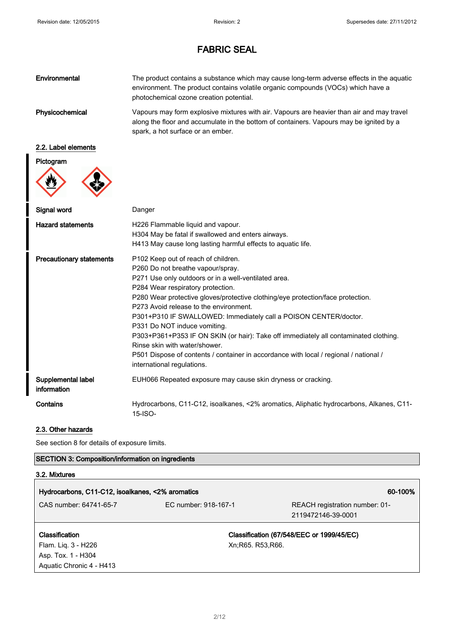| Environmental   | The product contains a substance which may cause long-term adverse effects in the aquatic<br>environment. The product contains volatile organic compounds (VOCs) which have a<br>photochemical ozone creation potential.  |
|-----------------|---------------------------------------------------------------------------------------------------------------------------------------------------------------------------------------------------------------------------|
| Physicochemical | Vapours may form explosive mixtures with air. Vapours are heavier than air and may travel<br>along the floor and accumulate in the bottom of containers. Vapours may be ignited by a<br>spark, a hot surface or an ember. |

## 2.2. Label elements

## Pictogram



| Signal word                       | Danger                                                                                                                                                                                                                                                                                                                                                                                                                                                                                                                                                                                                                                                 |
|-----------------------------------|--------------------------------------------------------------------------------------------------------------------------------------------------------------------------------------------------------------------------------------------------------------------------------------------------------------------------------------------------------------------------------------------------------------------------------------------------------------------------------------------------------------------------------------------------------------------------------------------------------------------------------------------------------|
| <b>Hazard statements</b>          | H226 Flammable liquid and vapour.<br>H304 May be fatal if swallowed and enters airways.<br>H413 May cause long lasting harmful effects to aquatic life.                                                                                                                                                                                                                                                                                                                                                                                                                                                                                                |
| <b>Precautionary statements</b>   | P102 Keep out of reach of children.<br>P260 Do not breathe vapour/spray.<br>P271 Use only outdoors or in a well-ventilated area.<br>P284 Wear respiratory protection.<br>P280 Wear protective gloves/protective clothing/eye protection/face protection.<br>P273 Avoid release to the environment.<br>P301+P310 IF SWALLOWED: Immediately call a POISON CENTER/doctor.<br>P331 Do NOT induce vomiting.<br>P303+P361+P353 IF ON SKIN (or hair): Take off immediately all contaminated clothing.<br>Rinse skin with water/shower.<br>P501 Dispose of contents / container in accordance with local / regional / national /<br>international regulations. |
| Supplemental label<br>information | EUH066 Repeated exposure may cause skin dryness or cracking.                                                                                                                                                                                                                                                                                                                                                                                                                                                                                                                                                                                           |
| Contains                          | Hydrocarbons, C11-C12, isoalkanes, <2% aromatics, Aliphatic hydrocarbons, Alkanes, C11-<br>15-ISO-                                                                                                                                                                                                                                                                                                                                                                                                                                                                                                                                                     |

### 2.3. Other hazards

See section 8 for details of exposure limits.

## SECTION 3: Composition/information on ingredients

## 3.2. Mixtures

| Hydrocarbons, C11-C12, isoalkanes, <2% aromatics<br>60-100% |                      |                                                      |
|-------------------------------------------------------------|----------------------|------------------------------------------------------|
| CAS number: 64741-65-7                                      | EC number: 918-167-1 | REACH registration number: 01-<br>2119472146-39-0001 |
| <b>Classification</b>                                       |                      | Classification (67/548/EEC or 1999/45/EC)            |
| Flam. Lig. 3 - H226                                         | Xn; R65. R53, R66.   |                                                      |
| Asp. Tox. 1 - H304                                          |                      |                                                      |
| Aquatic Chronic 4 - H413                                    |                      |                                                      |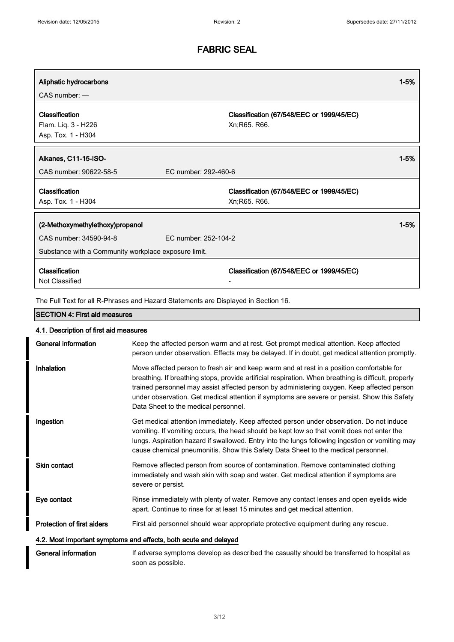| Aliphatic hydrocarbons                                                                                                                    |                                                            | $1 - 5%$ |
|-------------------------------------------------------------------------------------------------------------------------------------------|------------------------------------------------------------|----------|
| $CAS$ number: $-$                                                                                                                         |                                                            |          |
| Classification<br>Flam. Liq. 3 - H226<br>Asp. Tox. 1 - H304                                                                               | Classification (67/548/EEC or 1999/45/EC)<br>Xn; R65. R66. |          |
| Alkanes, C11-15-ISO-<br>CAS number: 90622-58-5                                                                                            | FC number: 292-460-6                                       | $1 - 5%$ |
| Classification<br>Asp. Tox. 1 - H304                                                                                                      | Classification (67/548/EEC or 1999/45/EC)<br>Xn; R65. R66. |          |
| (2-Methoxymethylethoxy)propanol<br>FC number: 252-104-2<br>CAS number: 34590-94-8<br>Substance with a Community workplace exposure limit. |                                                            | $1 - 5%$ |
| Classification<br>Not Classified                                                                                                          | Classification (67/548/EEC or 1999/45/EC)                  |          |

The Full Text for all R-Phrases and Hazard Statements are Displayed in Section 16.

## SECTION 4: First aid measures

| General information               | Keep the affected person warm and at rest. Get prompt medical attention. Keep affected<br>person under observation. Effects may be delayed. If in doubt, get medical attention promptly.                                                                                                                                                                                                                                                |
|-----------------------------------|-----------------------------------------------------------------------------------------------------------------------------------------------------------------------------------------------------------------------------------------------------------------------------------------------------------------------------------------------------------------------------------------------------------------------------------------|
| Inhalation                        | Move affected person to fresh air and keep warm and at rest in a position comfortable for<br>breathing. If breathing stops, provide artificial respiration. When breathing is difficult, properly<br>trained personnel may assist affected person by administering oxygen. Keep affected person<br>under observation. Get medical attention if symptoms are severe or persist. Show this Safety<br>Data Sheet to the medical personnel. |
| Ingestion                         | Get medical attention immediately. Keep affected person under observation. Do not induce<br>vomiting. If vomiting occurs, the head should be kept low so that vomit does not enter the<br>lungs. Aspiration hazard if swallowed. Entry into the lungs following ingestion or vomiting may<br>cause chemical pneumonitis. Show this Safety Data Sheet to the medical personnel.                                                          |
| Skin contact                      | Remove affected person from source of contamination. Remove contaminated clothing<br>immediately and wash skin with soap and water. Get medical attention if symptoms are<br>severe or persist.                                                                                                                                                                                                                                         |
| Eye contact                       | Rinse immediately with plenty of water. Remove any contact lenses and open eyelids wide<br>apart. Continue to rinse for at least 15 minutes and get medical attention.                                                                                                                                                                                                                                                                  |
| <b>Protection of first aiders</b> | First aid personnel should wear appropriate protective equipment during any rescue.                                                                                                                                                                                                                                                                                                                                                     |
|                                   | 4.2. Most important symptoms and effects, both acute and delayed                                                                                                                                                                                                                                                                                                                                                                        |
| General information               | If adverse symptoms develop as described the casualty should be transferred to hospital as<br>soon as possible.                                                                                                                                                                                                                                                                                                                         |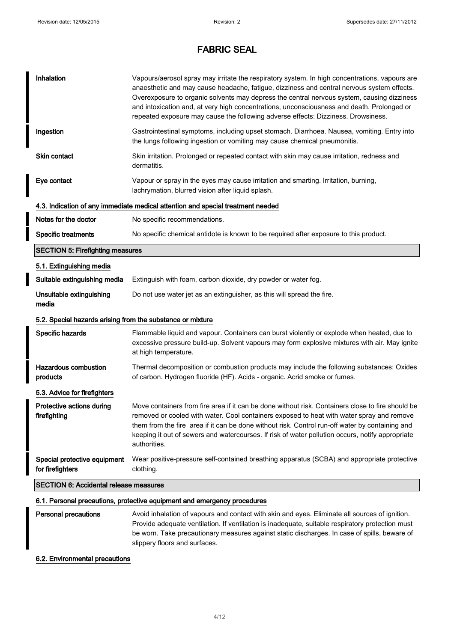| Inhalation                                                 | Vapours/aerosol spray may irritate the respiratory system. In high concentrations, vapours are<br>anaesthetic and may cause headache, fatigue, dizziness and central nervous system effects.<br>Overexposure to organic solvents may depress the central nervous system, causing dizziness<br>and intoxication and, at very high concentrations, unconsciousness and death. Prolonged or<br>repeated exposure may cause the following adverse effects: Dizziness. Drowsiness. |
|------------------------------------------------------------|-------------------------------------------------------------------------------------------------------------------------------------------------------------------------------------------------------------------------------------------------------------------------------------------------------------------------------------------------------------------------------------------------------------------------------------------------------------------------------|
| Ingestion                                                  | Gastrointestinal symptoms, including upset stomach. Diarrhoea. Nausea, vomiting. Entry into<br>the lungs following ingestion or vomiting may cause chemical pneumonitis.                                                                                                                                                                                                                                                                                                      |
| Skin contact                                               | Skin irritation. Prolonged or repeated contact with skin may cause irritation, redness and<br>dermatitis.                                                                                                                                                                                                                                                                                                                                                                     |
| Eye contact                                                | Vapour or spray in the eyes may cause irritation and smarting. Irritation, burning,<br>lachrymation, blurred vision after liquid splash.                                                                                                                                                                                                                                                                                                                                      |
|                                                            | 4.3. Indication of any immediate medical attention and special treatment needed                                                                                                                                                                                                                                                                                                                                                                                               |
| Notes for the doctor                                       | No specific recommendations.                                                                                                                                                                                                                                                                                                                                                                                                                                                  |
| <b>Specific treatments</b>                                 | No specific chemical antidote is known to be required after exposure to this product.                                                                                                                                                                                                                                                                                                                                                                                         |
| <b>SECTION 5: Firefighting measures</b>                    |                                                                                                                                                                                                                                                                                                                                                                                                                                                                               |
| 5.1. Extinguishing media                                   |                                                                                                                                                                                                                                                                                                                                                                                                                                                                               |
| Suitable extinguishing media                               | Extinguish with foam, carbon dioxide, dry powder or water fog.                                                                                                                                                                                                                                                                                                                                                                                                                |
| Unsuitable extinguishing<br>media                          | Do not use water jet as an extinguisher, as this will spread the fire.                                                                                                                                                                                                                                                                                                                                                                                                        |
| 5.2. Special hazards arising from the substance or mixture |                                                                                                                                                                                                                                                                                                                                                                                                                                                                               |
| Specific hazards                                           | Flammable liquid and vapour. Containers can burst violently or explode when heated, due to<br>excessive pressure build-up. Solvent vapours may form explosive mixtures with air. May ignite<br>at high temperature.                                                                                                                                                                                                                                                           |
| <b>Hazardous combustion</b><br>products                    | Thermal decomposition or combustion products may include the following substances: Oxides<br>of carbon. Hydrogen fluoride (HF). Acids - organic. Acrid smoke or fumes.                                                                                                                                                                                                                                                                                                        |
| 5.3. Advice for firefighters                               |                                                                                                                                                                                                                                                                                                                                                                                                                                                                               |
| Protective actions during<br>firefighting                  | Move containers from fire area if it can be done without risk. Containers close to fire should be<br>removed or cooled with water. Cool containers exposed to heat with water spray and remove<br>them from the fire area if it can be done without risk. Control run-off water by containing and<br>keeping it out of sewers and watercourses. If risk of water pollution occurs, notify appropriate<br>authorities.                                                         |
| Special protective equipment<br>for firefighters           | Wear positive-pressure self-contained breathing apparatus (SCBA) and appropriate protective<br>clothing.                                                                                                                                                                                                                                                                                                                                                                      |
| <b>SECTION 6: Accidental release measures</b>              |                                                                                                                                                                                                                                                                                                                                                                                                                                                                               |
|                                                            | 6.1. Personal precautions, protective equipment and emergency procedures                                                                                                                                                                                                                                                                                                                                                                                                      |
| <b>Personal precautions</b>                                | Avoid inhalation of vapours and contact with skin and eyes. Eliminate all sources of ignition.                                                                                                                                                                                                                                                                                                                                                                                |

Provide adequate ventilation. If ventilation is inadequate, suitable respiratory protection must

slippery floors and surfaces.

6.2. Environmental precautions

be worn. Take precautionary measures against static discharges. In case of spills, beware of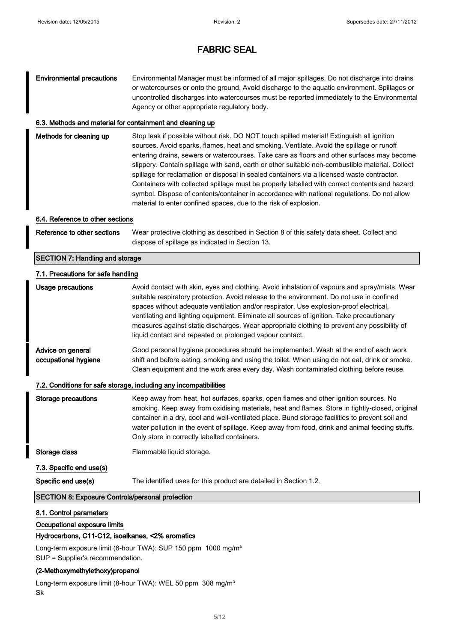## Environmental precautions Environmental Manager must be informed of all major spillages. Do not discharge into drains or watercourses or onto the ground. Avoid discharge to the aquatic environment. Spillages or uncontrolled discharges into watercourses must be reported immediately to the Environmental Agency or other appropriate regulatory body.

#### 6.3. Methods and material for containment and cleaning up

| Methods for cleaning up | Stop leak if possible without risk. DO NOT touch spilled material! Extinguish all ignition<br>sources. Avoid sparks, flames, heat and smoking. Ventilate. Avoid the spillage or runoff<br>entering drains, sewers or watercourses. Take care as floors and other surfaces may become<br>slippery. Contain spillage with sand, earth or other suitable non-combustible material. Collect<br>spillage for reclamation or disposal in sealed containers via a licensed waste contractor.<br>Containers with collected spillage must be properly labelled with correct contents and hazard<br>symbol. Dispose of contents/container in accordance with national regulations. Do not allow |
|-------------------------|---------------------------------------------------------------------------------------------------------------------------------------------------------------------------------------------------------------------------------------------------------------------------------------------------------------------------------------------------------------------------------------------------------------------------------------------------------------------------------------------------------------------------------------------------------------------------------------------------------------------------------------------------------------------------------------|
|                         | material to enter confined spaces, due to the risk of explosion.                                                                                                                                                                                                                                                                                                                                                                                                                                                                                                                                                                                                                      |

#### 6.4. Reference to other sections

| Reference to other sections | Wear protective clothing as described in Section 8 of this safety data sheet. Collect and |
|-----------------------------|-------------------------------------------------------------------------------------------|
|                             | dispose of spillage as indicated in Section 13.                                           |

#### SECTION 7: Handling and storage

#### 7.1. Precautions for safe handling

| Usage precautions                                                 | Avoid contact with skin, eyes and clothing. Avoid inhalation of vapours and spray/mists. Wear<br>suitable respiratory protection. Avoid release to the environment. Do not use in confined<br>spaces without adequate ventilation and/or respirator. Use explosion-proof electrical,<br>ventilating and lighting equipment. Eliminate all sources of ignition. Take precautionary<br>measures against static discharges. Wear appropriate clothing to prevent any possibility of<br>liquid contact and repeated or prolonged vapour contact. |  |
|-------------------------------------------------------------------|----------------------------------------------------------------------------------------------------------------------------------------------------------------------------------------------------------------------------------------------------------------------------------------------------------------------------------------------------------------------------------------------------------------------------------------------------------------------------------------------------------------------------------------------|--|
| Advice on general<br>occupational hygiene                         | Good personal hygiene procedures should be implemented. Wash at the end of each work<br>shift and before eating, smoking and using the toilet. When using do not eat, drink or smoke.<br>Clean equipment and the work area every day. Wash contaminated clothing before reuse.                                                                                                                                                                                                                                                               |  |
| 7.2. Conditions for safe storage, including any incompatibilities |                                                                                                                                                                                                                                                                                                                                                                                                                                                                                                                                              |  |
| <b>Storage precautions</b>                                        | Keep away from heat, hot surfaces, sparks, open flames and other ignition sources. No<br>smoking. Keep away from oxidising materials, heat and flames. Store in tightly-closed, original<br>container in a dry, cool and well-ventilated place. Bund storage facilities to prevent soil and<br>water pollution in the event of spillage. Keep away from food, drink and animal feeding stuffs.<br>Only store in correctly labelled containers.                                                                                               |  |

## Storage class Flammable liquid storage.

```
7.3. Specific end use(s)
```
Specific end use(s) The identified uses for this product are detailed in Section 1.2.

### SECTION 8: Exposure Controls/personal protection

### 8.1. Control parameters

#### Occupational exposure limits

### Hydrocarbons, C11-C12, isoalkanes, <2% aromatics

Long-term exposure limit (8-hour TWA): SUP 150 ppm 1000 mg/m<sup>3</sup> SUP = Supplier's recommendation.

#### (2-Methoxymethylethoxy)propanol

Long-term exposure limit (8-hour TWA): WEL 50 ppm 308 mg/m<sup>3</sup> Sk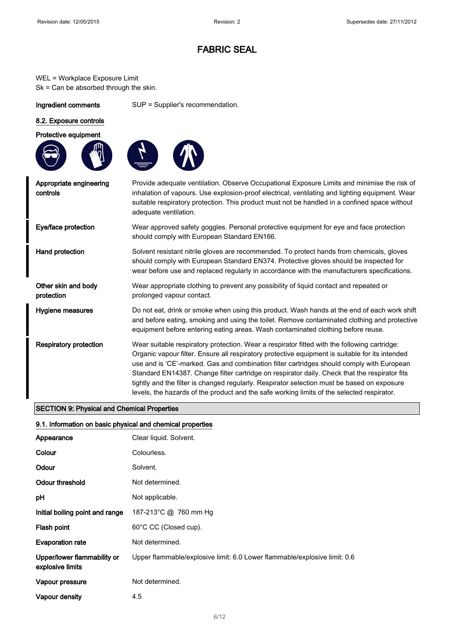WEL = Workplace Exposure Limit Sk = Can be absorbed through the skin.

Ingredient comments SUP = Supplier's recommendation.

### 8.2. Exposure controls

Protective equipment





Appropriate engineering controls Provide adequate ventilation. Observe Occupational Exposure Limits and minimise the risk of inhalation of vapours. Use explosion-proof electrical, ventilating and lighting equipment. Wear suitable respiratory protection. This product must not be handled in a confined space without adequate ventilation. Eye/face protection Wear approved safety goggles. Personal protective equipment for eye and face protection should comply with European Standard EN166. Hand protection Solvent resistant nitrile gloves are recommended. To protect hands from chemicals, gloves should comply with European Standard EN374. Protective gloves should be inspected for wear before use and replaced regularly in accordance with the manufacturers specifications. Other skin and body protection Wear appropriate clothing to prevent any possibility of liquid contact and repeated or prolonged vapour contact. Hygiene measures **Do not eat, drink or smoke when using this product**. Wash hands at the end of each work shift and before eating, smoking and using the toilet. Remove contaminated clothing and protective equipment before entering eating areas. Wash contaminated clothing before reuse. Respiratory protection Wear suitable respiratory protection. Wear a respirator fitted with the following cartridge: Organic vapour filter. Ensure all respiratory protective equipment is suitable for its intended use and is 'CE'-marked. Gas and combination filter cartridges should comply with European Standard EN14387. Change filter cartridge on respirator daily. Check that the respirator fits tightly and the filter is changed regularly. Respirator selection must be based on exposure levels, the hazards of the product and the safe working limits of the selected respirator.

### SECTION 9: Physical and Chemical Properties

#### 9.1. Information on basic physical and chemical properties

| Appearance                                      | Clear liquid. Solvent.                                                    |
|-------------------------------------------------|---------------------------------------------------------------------------|
| Colour                                          | Colourless.                                                               |
| Odour                                           | Solvent.                                                                  |
| Odour threshold                                 | Not determined.                                                           |
| рH                                              | Not applicable.                                                           |
| Initial boiling point and range                 | 187-213°C @ 760 mm Hg                                                     |
| Flash point                                     | 60°C CC (Closed cup).                                                     |
| <b>Evaporation rate</b>                         | Not determined.                                                           |
| Upper/lower flammability or<br>explosive limits | Upper flammable/explosive limit: 6.0 Lower flammable/explosive limit: 0.6 |
| Vapour pressure                                 | Not determined.                                                           |
| Vapour density                                  | 4.5                                                                       |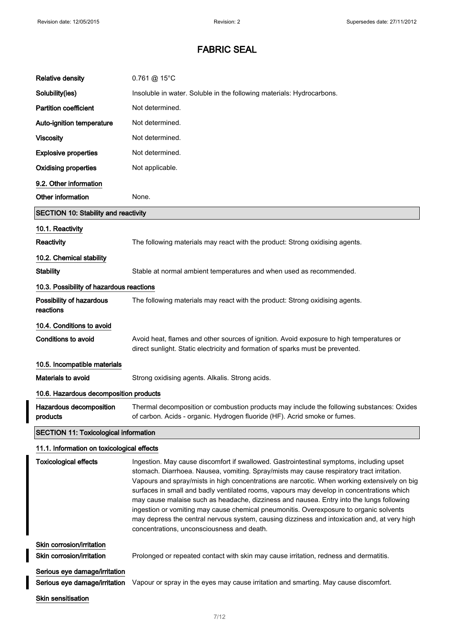| <b>Relative density</b>                      | 0.761 @ 15°C                                                                                                                                                               |  |
|----------------------------------------------|----------------------------------------------------------------------------------------------------------------------------------------------------------------------------|--|
| Solubility(ies)                              | Insoluble in water. Soluble in the following materials: Hydrocarbons.                                                                                                      |  |
| <b>Partition coefficient</b>                 | Not determined.                                                                                                                                                            |  |
| Auto-ignition temperature                    | Not determined.                                                                                                                                                            |  |
| <b>Viscosity</b>                             | Not determined.                                                                                                                                                            |  |
| <b>Explosive properties</b>                  | Not determined.                                                                                                                                                            |  |
| <b>Oxidising properties</b>                  | Not applicable.                                                                                                                                                            |  |
| 9.2. Other information                       |                                                                                                                                                                            |  |
| Other information                            | None.                                                                                                                                                                      |  |
| <b>SECTION 10: Stability and reactivity</b>  |                                                                                                                                                                            |  |
| 10.1. Reactivity                             |                                                                                                                                                                            |  |
| Reactivity                                   | The following materials may react with the product: Strong oxidising agents.                                                                                               |  |
| 10.2. Chemical stability                     |                                                                                                                                                                            |  |
| <b>Stability</b>                             | Stable at normal ambient temperatures and when used as recommended.                                                                                                        |  |
| 10.3. Possibility of hazardous reactions     |                                                                                                                                                                            |  |
| Possibility of hazardous<br>reactions        | The following materials may react with the product: Strong oxidising agents.                                                                                               |  |
| 10.4. Conditions to avoid                    |                                                                                                                                                                            |  |
| <b>Conditions to avoid</b>                   | Avoid heat, flames and other sources of ignition. Avoid exposure to high temperatures or<br>direct sunlight. Static electricity and formation of sparks must be prevented. |  |
| 10.5. Incompatible materials                 |                                                                                                                                                                            |  |
| Materials to avoid                           | Strong oxidising agents. Alkalis. Strong acids.                                                                                                                            |  |
| 10.6. Hazardous decomposition products       |                                                                                                                                                                            |  |
| Hazardous decomposition<br>products          | Thermal decomposition or combustion products may include the following substances: Oxides<br>of carbon. Acids - organic. Hydrogen fluoride (HF). Acrid smoke or fumes.     |  |
| <b>SECTION 11: Toxicological information</b> |                                                                                                                                                                            |  |

# 11.1. Information on toxicological effects

I

| <b>Toxicological effects</b>  | Ingestion. May cause discomfort if swallowed. Gastrointestinal symptoms, including upset<br>stomach. Diarrhoea. Nausea, vomiting. Spray/mists may cause respiratory tract irritation.<br>Vapours and spray/mists in high concentrations are narcotic. When working extensively on big<br>surfaces in small and badly ventilated rooms, vapours may develop in concentrations which<br>may cause malaise such as headache, dizziness and nausea. Entry into the lungs following<br>ingestion or vomiting may cause chemical pneumonitis. Overexposure to organic solvents<br>may depress the central nervous system, causing dizziness and intoxication and, at very high<br>concentrations, unconsciousness and death. |
|-------------------------------|------------------------------------------------------------------------------------------------------------------------------------------------------------------------------------------------------------------------------------------------------------------------------------------------------------------------------------------------------------------------------------------------------------------------------------------------------------------------------------------------------------------------------------------------------------------------------------------------------------------------------------------------------------------------------------------------------------------------|
| Skin corrosion/irritation     |                                                                                                                                                                                                                                                                                                                                                                                                                                                                                                                                                                                                                                                                                                                        |
| Skin corrosion/irritation     | Prolonged or repeated contact with skin may cause irritation, redness and dermatitis.                                                                                                                                                                                                                                                                                                                                                                                                                                                                                                                                                                                                                                  |
| Serious eye damage/irritation |                                                                                                                                                                                                                                                                                                                                                                                                                                                                                                                                                                                                                                                                                                                        |
| Serious eye damage/irritation | Vapour or spray in the eyes may cause irritation and smarting. May cause discomfort.                                                                                                                                                                                                                                                                                                                                                                                                                                                                                                                                                                                                                                   |
| <b>Skin sensitisation</b>     |                                                                                                                                                                                                                                                                                                                                                                                                                                                                                                                                                                                                                                                                                                                        |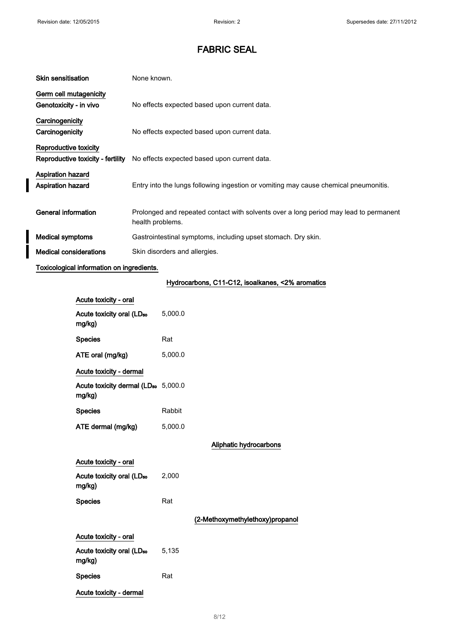$\overline{\phantom{a}}$ 

I

# FABRIC SEAL

| <b>Skin sensitisation</b>         | None known.                                                                                               |
|-----------------------------------|-----------------------------------------------------------------------------------------------------------|
| Germ cell mutagenicity            |                                                                                                           |
| Genotoxicity - in vivo            | No effects expected based upon current data.                                                              |
| Carcinogenicity                   |                                                                                                           |
| Carcinogenicity                   | No effects expected based upon current data.                                                              |
| Reproductive toxicity             |                                                                                                           |
| Reproductive toxicity - fertility | No effects expected based upon current data.                                                              |
| <b>Aspiration hazard</b>          |                                                                                                           |
| <b>Aspiration hazard</b>          | Entry into the lungs following ingestion or vomiting may cause chemical pneumonitis.                      |
|                                   |                                                                                                           |
| General information               | Prolonged and repeated contact with solvents over a long period may lead to permanent<br>health problems. |
| <b>Medical symptoms</b>           | Gastrointestinal symptoms, including upset stomach. Dry skin.                                             |
| <b>Medical considerations</b>     | Skin disorders and allergies.                                                                             |
|                                   |                                                                                                           |

## Toxicological information on ingredients.

# Hydrocarbons, C11-C12, isoalkanes, <2% aromatics

| Acute toxicity - oral                                     |         |                                 |
|-----------------------------------------------------------|---------|---------------------------------|
| Acute toxicity oral (LD <sub>50</sub><br>mg/kg)           | 5,000.0 |                                 |
| <b>Species</b>                                            | Rat     |                                 |
| ATE oral (mg/kg)                                          | 5,000.0 |                                 |
| Acute toxicity - dermal                                   |         |                                 |
| Acute toxicity dermal (LD <sub>50</sub> 5,000.0<br>mg/kg) |         |                                 |
| <b>Species</b>                                            | Rabbit  |                                 |
| ATE dermal (mg/kg)                                        | 5,000.0 |                                 |
|                                                           |         | Aliphatic hydrocarbons          |
| Acute toxicity - oral                                     |         |                                 |
| Acute toxicity oral (LD <sub>50</sub><br>mg/kg)           | 2,000   |                                 |
| <b>Species</b>                                            | Rat     |                                 |
|                                                           |         | (2-Methoxymethylethoxy)propanol |
| Acute toxicity - oral                                     |         |                                 |
| Acute toxicity oral (LD <sub>50</sub><br>mg/kg)           | 5,135   |                                 |
| <b>Species</b>                                            | Rat     |                                 |
| Acute toxicity - dermal                                   |         |                                 |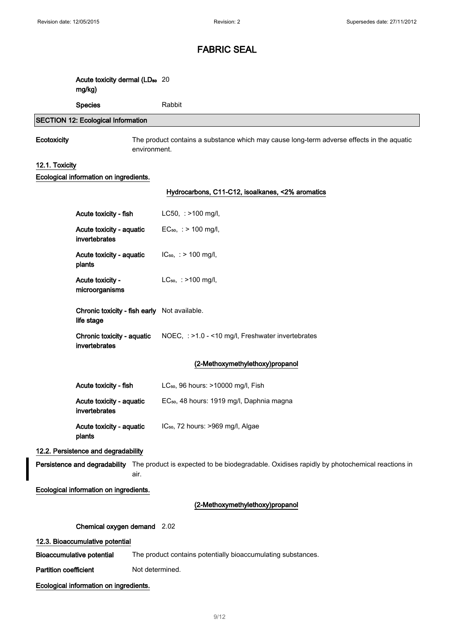| Acute toxicity dermal (LD <sub>50</sub> 20<br>mg/kg) |            |
|------------------------------------------------------|------------|
| <b>Species</b>                                       | Rabbit     |
| <b>SECTION 12: Ecological Information</b>            |            |
| ___                                                  | -- - - - - |

Ecotoxicity The product contains a substance which may cause long-term adverse effects in the aquatic environment.

### 12.1. Toxicity

#### Ecological information on ingredients.

#### Hydrocarbons, C11-C12, isoalkanes, <2% aromatics

| Acute toxicity - fish                                      | $LC50$ , : >100 mg/l,                                 |
|------------------------------------------------------------|-------------------------------------------------------|
| Acute toxicity - aquatic<br>invertebrates                  | $EC_{50}$ , : > 100 mg/l,                             |
| Acute toxicity - aquatic<br>plants                         | $IC_{50}$ , : > 100 mg/l,                             |
| Acute toxicity -<br>microorganisms                         | $LC_{50}$ , : >100 mg/l,                              |
| Chronic toxicity - fish early Not available.<br>life stage |                                                       |
|                                                            |                                                       |
| Chronic toxicity - aquatic<br>invertebrates                | NOEC, : >1.0 - <10 mg/l, Freshwater invertebrates     |
|                                                            | (2-Methoxymethylethoxy)propanol                       |
| Acute toxicity - fish                                      | LC <sub>50</sub> , 96 hours: >10000 mg/l, Fish        |
| Acute toxicity - aquatic<br>invertebrates                  | EC <sub>50</sub> , 48 hours: 1919 mg/l, Daphnia magna |

#### 12.2. Persistence and degradability

Persistence and degradability The product is expected to be biodegradable. Oxidises rapidly by photochemical reactions in air.

### Ecological information on ingredients.

### (2-Methoxymethylethoxy)propanol

Chemical oxygen demand 2.02

#### 12.3. Bioaccumulative potential

Bioaccumulative potential The product contains potentially bioaccumulating substances.

Partition coefficient Not determined.

### Ecological information on ingredients.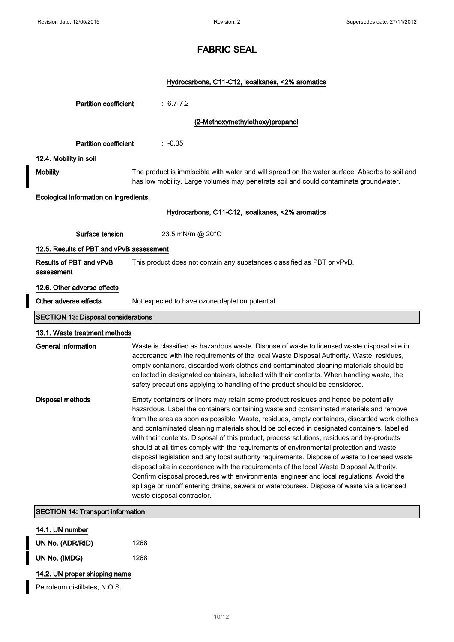$\overline{\phantom{a}}$ 

# FABRIC SEAL

## Hydrocarbons, C11-C12, isoalkanes, <2% aromatics

| <b>Partition coefficient</b>               | $: 6.7 - 7.2$                                                                                                                                                                                                                                                                                                                                                                                                                                                                                                                                                                                                                                                                                                                                                                                                                                                                                                                                                                              |
|--------------------------------------------|--------------------------------------------------------------------------------------------------------------------------------------------------------------------------------------------------------------------------------------------------------------------------------------------------------------------------------------------------------------------------------------------------------------------------------------------------------------------------------------------------------------------------------------------------------------------------------------------------------------------------------------------------------------------------------------------------------------------------------------------------------------------------------------------------------------------------------------------------------------------------------------------------------------------------------------------------------------------------------------------|
|                                            | (2-Methoxymethylethoxy)propanol                                                                                                                                                                                                                                                                                                                                                                                                                                                                                                                                                                                                                                                                                                                                                                                                                                                                                                                                                            |
| <b>Partition coefficient</b>               | $: -0.35$                                                                                                                                                                                                                                                                                                                                                                                                                                                                                                                                                                                                                                                                                                                                                                                                                                                                                                                                                                                  |
| 12.4. Mobility in soil                     |                                                                                                                                                                                                                                                                                                                                                                                                                                                                                                                                                                                                                                                                                                                                                                                                                                                                                                                                                                                            |
| <b>Mobility</b>                            | The product is immiscible with water and will spread on the water surface. Absorbs to soil and<br>has low mobility. Large volumes may penetrate soil and could contaminate groundwater.                                                                                                                                                                                                                                                                                                                                                                                                                                                                                                                                                                                                                                                                                                                                                                                                    |
| Ecological information on ingredients.     |                                                                                                                                                                                                                                                                                                                                                                                                                                                                                                                                                                                                                                                                                                                                                                                                                                                                                                                                                                                            |
|                                            | Hydrocarbons, C11-C12, isoalkanes, <2% aromatics                                                                                                                                                                                                                                                                                                                                                                                                                                                                                                                                                                                                                                                                                                                                                                                                                                                                                                                                           |
| Surface tension                            | 23.5 mN/m @ 20°C                                                                                                                                                                                                                                                                                                                                                                                                                                                                                                                                                                                                                                                                                                                                                                                                                                                                                                                                                                           |
| 12.5. Results of PBT and vPvB assessment   |                                                                                                                                                                                                                                                                                                                                                                                                                                                                                                                                                                                                                                                                                                                                                                                                                                                                                                                                                                                            |
| Results of PBT and vPvB<br>assessment      | This product does not contain any substances classified as PBT or vPvB.                                                                                                                                                                                                                                                                                                                                                                                                                                                                                                                                                                                                                                                                                                                                                                                                                                                                                                                    |
| 12.6. Other adverse effects                |                                                                                                                                                                                                                                                                                                                                                                                                                                                                                                                                                                                                                                                                                                                                                                                                                                                                                                                                                                                            |
| Other adverse effects                      | Not expected to have ozone depletion potential.                                                                                                                                                                                                                                                                                                                                                                                                                                                                                                                                                                                                                                                                                                                                                                                                                                                                                                                                            |
| <b>SECTION 13: Disposal considerations</b> |                                                                                                                                                                                                                                                                                                                                                                                                                                                                                                                                                                                                                                                                                                                                                                                                                                                                                                                                                                                            |
| 13.1. Waste treatment methods              |                                                                                                                                                                                                                                                                                                                                                                                                                                                                                                                                                                                                                                                                                                                                                                                                                                                                                                                                                                                            |
| General information                        | Waste is classified as hazardous waste. Dispose of waste to licensed waste disposal site in<br>accordance with the requirements of the local Waste Disposal Authority. Waste, residues,<br>empty containers, discarded work clothes and contaminated cleaning materials should be<br>collected in designated containers, labelled with their contents. When handling waste, the<br>safety precautions applying to handling of the product should be considered.                                                                                                                                                                                                                                                                                                                                                                                                                                                                                                                            |
| Disposal methods                           | Empty containers or liners may retain some product residues and hence be potentially<br>hazardous. Label the containers containing waste and contaminated materials and remove<br>from the area as soon as possible. Waste, residues, empty containers, discarded work clothes<br>and contaminated cleaning materials should be collected in designated containers, labelled<br>with their contents. Disposal of this product, process solutions, residues and by-products<br>should at all times comply with the requirements of environmental protection and waste<br>disposal legislation and any local authority requirements. Dispose of waste to licensed waste<br>disposal site in accordance with the requirements of the local Waste Disposal Authority.<br>Confirm disposal procedures with environmental engineer and local regulations. Avoid the<br>spillage or runoff entering drains, sewers or watercourses. Dispose of waste via a licensed<br>waste disposal contractor. |
| <b>SECTION 14: Transport information</b>   |                                                                                                                                                                                                                                                                                                                                                                                                                                                                                                                                                                                                                                                                                                                                                                                                                                                                                                                                                                                            |
| 14.1. UN number                            |                                                                                                                                                                                                                                                                                                                                                                                                                                                                                                                                                                                                                                                                                                                                                                                                                                                                                                                                                                                            |

| UN No. (ADR/RID) | 1268 |
|------------------|------|
| UN No. (IMDG)    | 1268 |

## 14.2. UN proper shipping name

Petroleum distillates, N.O.S.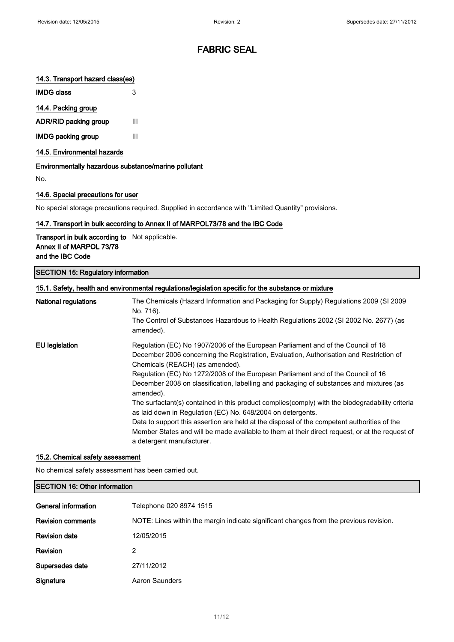### 14.3. Transport hazard class(es)

IMDG class 3

### 14.4. Packing group

ADR/RID packing group III

IMDG packing group III

14.5. Environmental hazards

Environmentally hazardous substance/marine pollutant

No.

#### 14.6. Special precautions for user

No special storage precautions required. Supplied in accordance with "Limited Quantity" provisions.

### 14.7. Transport in bulk according to Annex II of MARPOL73/78 and the IBC Code

Transport in bulk according to Not applicable. Annex II of MARPOL 73/78 and the IBC Code

SECTION 15: Regulatory information

|                             | 15.1. Safety, health and environmental regulations/legislation specific for the substance or mixture                                                                                                                       |
|-----------------------------|----------------------------------------------------------------------------------------------------------------------------------------------------------------------------------------------------------------------------|
| <b>National regulations</b> | The Chemicals (Hazard Information and Packaging for Supply) Regulations 2009 (SI 2009<br>No. 716).                                                                                                                         |
|                             | The Control of Substances Hazardous to Health Regulations 2002 (SI 2002 No. 2677) (as<br>amended).                                                                                                                         |
| <b>EU</b> legislation       | Regulation (EC) No 1907/2006 of the European Parliament and of the Council of 18<br>December 2006 concerning the Registration, Evaluation, Authorisation and Restriction of<br>Chemicals (REACH) (as amended).             |
|                             | Regulation (EC) No 1272/2008 of the European Parliament and of the Council of 16<br>December 2008 on classification, labelling and packaging of substances and mixtures (as<br>amended).                                   |
|                             | The surfactant(s) contained in this product complies (comply) with the biodegradability criteria<br>as laid down in Regulation (EC) No. 648/2004 on detergents.                                                            |
|                             | Data to support this assertion are held at the disposal of the competent authorities of the<br>Member States and will be made available to them at their direct request, or at the request of<br>a detergent manufacturer. |

#### 15.2. Chemical safety assessment

No chemical safety assessment has been carried out.

| <b>SECTION 16: Other information</b> |                                                                                        |
|--------------------------------------|----------------------------------------------------------------------------------------|
|                                      |                                                                                        |
| General information                  | Telephone 020 8974 1515                                                                |
| <b>Revision comments</b>             | NOTE: Lines within the margin indicate significant changes from the previous revision. |
| <b>Revision date</b>                 | 12/05/2015                                                                             |
| <b>Revision</b>                      | 2                                                                                      |
| Supersedes date                      | 27/11/2012                                                                             |
| Signature                            | Aaron Saunders                                                                         |